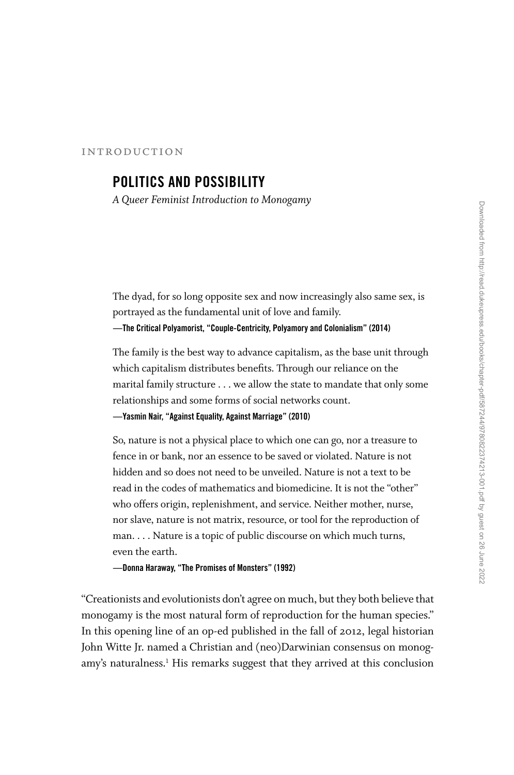#### introduction

# **POLITICS AND POSSIBILITY**

*[A Queer Feminist Introduction to Monogamy](#page--1-0)*

The dyad, for so long opposite sex and now increasingly also same sex, is portrayed as the fundamental unit of love and family. **—The Critical Polyamorist, "Couple-Centricity, Polyamory and Colonialism" (2014)**

The family is the best way to advance capitalism, as the base unit through which capitalism distributes benefits. Through our reliance on the marital family structure . . . we allow the state to mandate that only some relationships and some forms of social networks count.

**—Yasmin Nair, "Against Equality, Against Marriage" (2010)**

So, nature is not a physical place to which one can go, nor a treasure to fence in or bank, nor an essence to be saved or violated. Nature is not hidden and so does not need to be unveiled. Nature is not a text to be read in the codes of mathematics and biomedicine. It is not the "other" who offers origin, replenishment, and service. Neither mother, nurse, nor slave, nature is not matrix, resource, or tool for the reproduction of man. . . . Nature is a topic of public discourse on which much turns, even the earth.

**—Donna Haraway, "The Promises of Monsters" (1992)**

"Creationists and evolutionists don't agree on much, but they both believe that monogamy is the most natural form of reproduction for the human species." In this opening line of an op-ed published in the fall of 2012, legal historian John Witte Jr. named a Christian and (neo)Darwinian consensus on monog-amy's naturalness.<sup>[1](#page--1-0)</sup> His remarks suggest that they arrived at this conclusion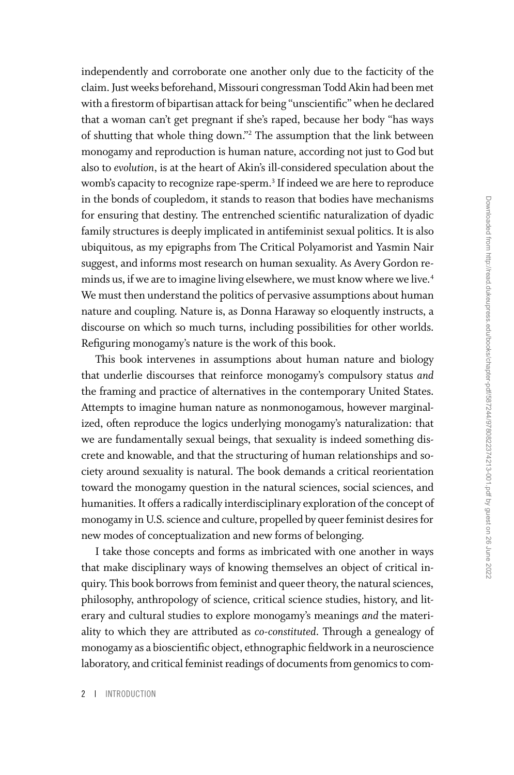independently and corroborate one another only due to the facticity of the claim. Just weeks beforehand, Missouri congressman Todd Akin had been met with a firestorm of bipartisan attack for being "unscientific" when he declared that a woman can't get pregnant if she's raped, because her body "has ways of shutting that whole thing down."[2](#page--1-0) The assumption that the link between monogamy and reproduction is human nature, according not just to God but also to *evolution*, is at the heart of Akin's ill-considered speculation about the womb's capacity to recognize rape-sperm.<sup>[3](#page--1-0)</sup> If indeed we are here to reproduce in the bonds of coupledom, it stands to reason that bodies have mechanisms for ensuring that destiny. The entrenched scientific naturalization of dyadic family structures is deeply implicated in antifeminist sexual politics. It is also ubiquitous, as my epigraphs from The Critical Polyamorist and Yasmin Nair suggest, and informs most research on human sexuality. As Avery Gordon re-minds us, if we are to imagine living elsewhere, we must know where we live.<sup>[4](#page--1-0)</sup> We must then understand the politics of pervasive assumptions about human nature and coupling. Nature is, as Donna Haraway so eloquently instructs, a discourse on which so much turns, including possibilities for other worlds. Refiguring monogamy's nature is the work of this book.

This book intervenes in assumptions about human nature and biology that underlie discourses that reinforce monogamy's compulsory status *and*  the framing and practice of alternatives in the contemporary United States. Attempts to imagine human nature as nonmonogamous, however marginalized, often reproduce the logics underlying monogamy's naturalization: that we are fundamentally sexual beings, that sexuality is indeed something discrete and knowable, and that the structuring of human relationships and society around sexuality is natural. The book demands a critical reorientation toward the monogamy question in the natural sciences, social sciences, and humanities. It offers a radically interdisciplinary exploration of the concept of monogamy in U.S. science and culture, propelled by queer feminist desires for new modes of conceptualization and new forms of belonging.

I take those concepts and forms as imbricated with one another in ways that make disciplinary ways of knowing themselves an object of critical inquiry. This book borrows from feminist and queer theory, the natural sciences, philosophy, anthropology of science, critical science studies, history, and literary and cultural studies to explore monogamy's meanings *and* the materiality to which they are attributed as *co-constituted*. Through a genealogy of monogamy as a bioscientific object, ethnographic fieldwork in a neuroscience laboratory, and critical feminist readings of documents from genomics to com-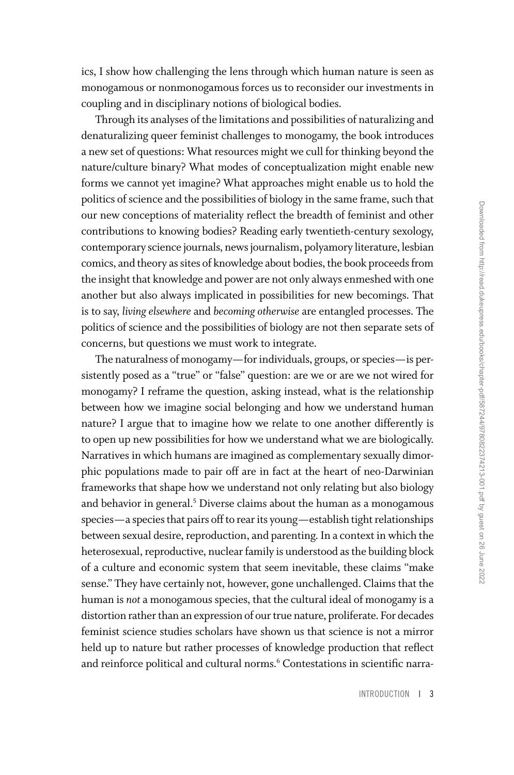ics, I show how challenging the lens through which human nature is seen as monogamous or nonmonogamous forces us to reconsider our investments in coupling and in disciplinary notions of biological bodies.

Through its analyses of the limitations and possibilities of naturalizing and denaturalizing queer feminist challenges to monogamy, the book introduces a new set of questions: What resources might we cull for thinking beyond the nature/culture binary? What modes of conceptualization might enable new forms we cannot yet imagine? What approaches might enable us to hold the politics of science and the possibilities of biology in the same frame, such that our new conceptions of materiality reflect the breadth of feminist and other contributions to knowing bodies? Reading early twentieth-century sexology, contemporary science journals, news journalism, polyamory literature, lesbian comics, and theory as sites of knowledge about bodies, the book proceeds from the insight that knowledge and power are not only always enmeshed with one another but also always implicated in possibilities for new becomings. That is to say, *living elsewhere* and *becoming otherwise* are entangled processes. The politics of science and the possibilities of biology are not then separate sets of concerns, but questions we must work to integrate.

The naturalness of monogamy—for individuals, groups, or species—is persistently posed as a "true" or "false" question: are we or are we not wired for monogamy? I reframe the question, asking instead, what is the relationship between how we imagine social belonging and how we understand human nature? I argue that to imagine how we relate to one another differently is to open up new possibilities for how we understand what we are biologically. Narratives in which humans are imagined as complementary sexually dimorphic populations made to pair off are in fact at the heart of neo-Darwinian frameworks that shape how we understand not only relating but also biology and behavior in general.<sup>[5](#page--1-0)</sup> Diverse claims about the human as a monogamous species—a species that pairs off to rear its young—establish tight relationships between sexual desire, reproduction, and parenting. In a context in which the heterosexual, reproductive, nuclear family is understood as the building block of a culture and economic system that seem inevitable, these claims "make sense." They have certainly not, however, gone unchallenged. Claims that the human is *not* a monogamous species, that the cultural ideal of monogamy is a distortion rather than an expression of our true nature, proliferate. For decades feminist science studies scholars have shown us that science is not a mirror held up to nature but rather processes of knowledge production that reflect and reinforce political and cultural norms.<sup>[6](#page--1-0)</sup> Contestations in scientific narra-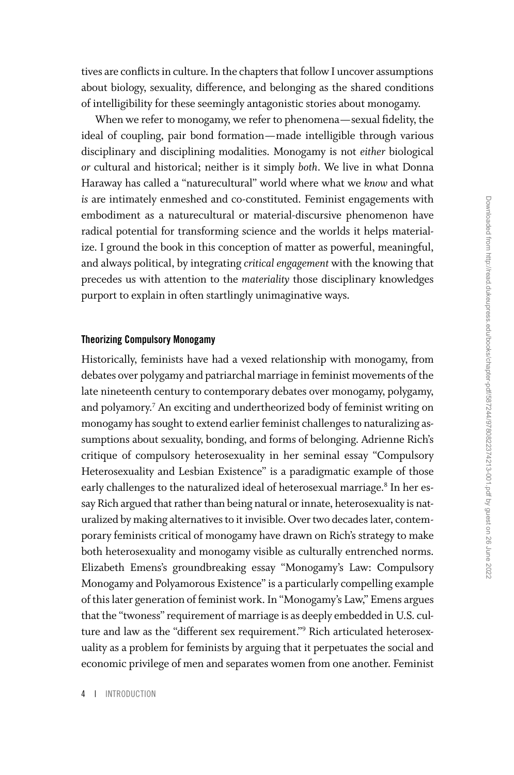tives are conflicts in culture. In the chapters that follow I uncover assumptions about biology, sexuality, difference, and belonging as the shared conditions of intelligibility for these seemingly antagonistic stories about monogamy.

When we refer to monogamy, we refer to phenomena—sexual fidelity, the ideal of coupling, pair bond formation—made intelligible through various disciplinary and disciplining modalities. Monogamy is not *either* biological *or* cultural and historical; neither is it simply *both*. We live in what Donna Haraway has called a "naturecultural" world where what we *know* and what *is* are intimately enmeshed and co-constituted. Feminist engagements with embodiment as a naturecultural or material-discursive phenomenon have radical potential for transforming science and the worlds it helps materialize. I ground the book in this conception of matter as powerful, meaningful, and always political, by integrating *critical engagement* with the knowing that precedes us with attention to the *materiality* those disciplinary knowledges purport to explain in often startlingly unimaginative ways.

## **Theorizing Compulsory Monogamy**

Historically, feminists have had a vexed relationship with monogamy, from debates over polygamy and patriarchal marriage in feminist movements of the late nineteenth century to contemporary debates over monogamy, polygamy, and polyamory.<sup>[7](#page--1-0)</sup> An exciting and undertheorized body of feminist writing on monogamy has sought to extend earlier feminist challenges to naturalizing assumptions about sexuality, bonding, and forms of belonging. Adrienne Rich's critique of compulsory heterosexuality in her seminal essay "Compulsory Heterosexuality and Lesbian Existence" is a paradigmatic example of those early challenges to the naturalized ideal of heterosexual marriage.<sup>[8](#page--1-0)</sup> In her essay Rich argued that rather than being natural or innate, heterosexuality is naturalized by making alternatives to it invisible. Over two decades later, contemporary feminists critical of monogamy have drawn on Rich's strategy to make both heterosexuality and monogamy visible as culturally entrenched norms. Elizabeth Emens's groundbreaking essay "Monogamy's Law: Compulsory Monogamy and Polyamorous Existence" is a particularly compelling example of this later generation of feminist work. In "Monogamy's Law," Emens argues that the "twoness" requirement of marriage is as deeply embedded in U.S. culture and law as the "different sex requirement."[9](#page--1-0) Rich articulated heterosexuality as a problem for feminists by arguing that it perpetuates the social and economic privilege of men and separates women from one another. Feminist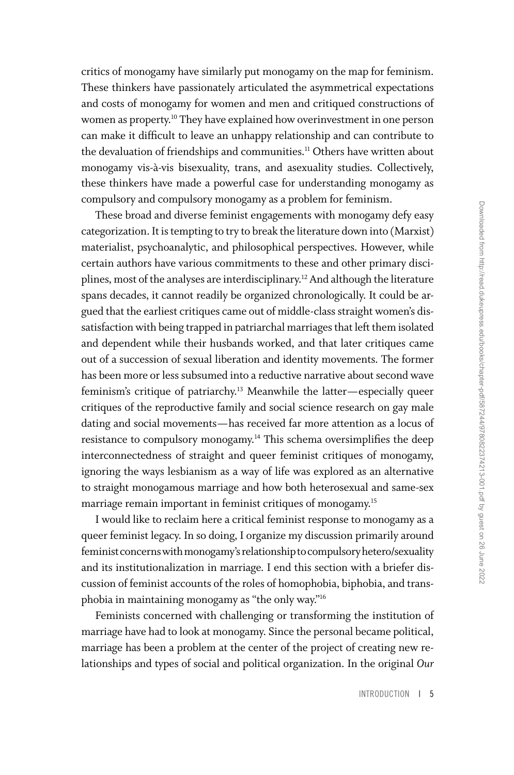critics of monogamy have similarly put monogamy on the map for feminism. These thinkers have passionately articulated the asymmetrical expectations and costs of monogamy for women and men and critiqued constructions of women as property.<sup>[10](#page--1-0)</sup> They have explained how overinvestment in one person can make it difficult to leave an unhappy relationship and can contribute to the devaluation of friendships and communities.<sup>[11](#page--1-0)</sup> Others have written about monogamy vis-à-vis bisexuality, trans, and asexuality studies. Collectively, these thinkers have made a powerful case for understanding monogamy as compulsory and compulsory monogamy as a problem for feminism.

These broad and diverse feminist engagements with monogamy defy easy categorization. It is tempting to try to break the literature down into (Marxist) materialist, psychoanalytic, and philosophical perspectives. However, while certain authors have various commitments to these and other primary disci-plines, most of the analyses are interdisciplinary.<sup>[12](#page--1-0)</sup> And although the literature spans decades, it cannot readily be organized chronologically. It could be argued that the earliest critiques came out of middle-class straight women's dissatisfaction with being trapped in patriarchal marriages that left them isolated and dependent while their husbands worked, and that later critiques came out of a succession of sexual liberation and identity movements. The former has been more or less subsumed into a reductive narrative about second wave feminism's critique of patriarchy.[13](#page--1-0) Meanwhile the latter—especially queer critiques of the reproductive family and social science research on gay male dating and social movements—has received far more attention as a locus of resistance to compulsory monogamy.[14](#page--1-0) This schema oversimplifies the deep interconnectedness of straight and queer feminist critiques of monogamy, ignoring the ways lesbianism as a way of life was explored as an alternative to straight monogamous marriage and how both heterosexual and same-sex marriage remain important in feminist critiques of monogamy.[15](#page--1-0)

I would like to reclaim here a critical feminist response to monogamy as a queer feminist legacy. In so doing, I organize my discussion primarily around feminist concerns with monogamy's relationship to compulsory hetero/sexuality and its institutionalization in marriage. I end this section with a briefer discussion of feminist accounts of the roles of homophobia, biphobia, and transphobia in maintaining monogamy as "the only way."[16](#page--1-0)

Feminists concerned with challenging or transforming the institution of marriage have had to look at monogamy. Since the personal became political, marriage has been a problem at the center of the project of creating new relationships and types of social and political organization. In the original *Our*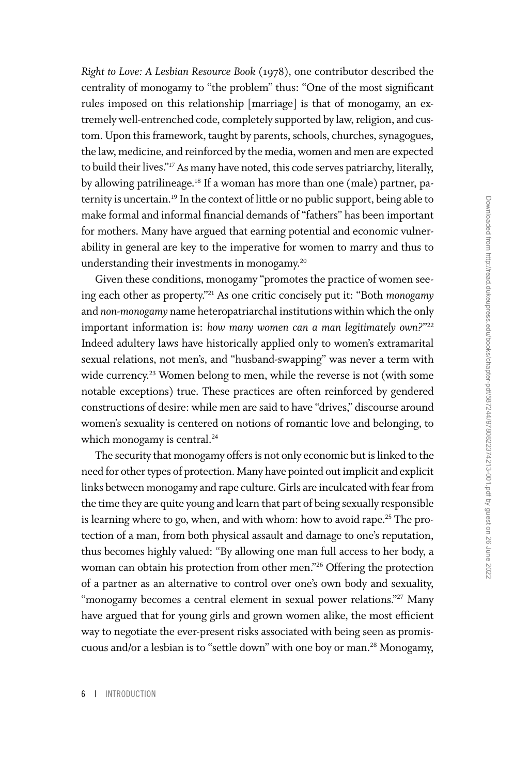*Right to Love: A Lesbian Resource Book* (1978), one contributor described the centrality of monogamy to "the problem" thus: "One of the most significant rules imposed on this relationship [marriage] is that of monogamy, an extremely well-entrenched code, completely supported by law, religion, and custom. Upon this framework, taught by parents, schools, churches, synagogues, the law, medicine, and reinforced by the media, women and men are expected to build their lives."[17](#page--1-0) As many have noted, this code serves patriarchy, literally, by allowing patrilineage.[18](#page--1-0) If a woman has more than one (male) partner, pa-ternity is uncertain.<sup>[19](#page--1-0)</sup> In the context of little or no public support, being able to make formal and informal financial demands of "fathers" has been important for mothers. Many have argued that earning potential and economic vulnerability in general are key to the imperative for women to marry and thus to understanding their investments in monogamy.<sup>[20](#page--1-0)</sup>

Given these conditions, monogamy "promotes the practice of women seeing each other as property."[21](#page--1-0) As one critic concisely put it: "Both *monogamy* and *non-monogamy* name heteropatriarchal institutions within which the only important information is: *how many women can a man legitimately own?*"[22](#page--1-0) Indeed adultery laws have historically applied only to women's extramarital sexual relations, not men's, and "husband-swapping" was never a term with wide currency.<sup>[23](#page--1-0)</sup> Women belong to men, while the reverse is not (with some notable exceptions) true. These practices are often reinforced by gendered constructions of desire: while men are said to have "drives," discourse around women's sexuality is centered on notions of romantic love and belonging, to which monogamy is central.<sup>[24](#page--1-0)</sup>

The security that monogamy offers is not only economic but is linked to the need for other types of protection. Many have pointed out implicit and explicit links between monogamy and rape culture. Girls are inculcated with fear from the time they are quite young and learn that part of being sexually responsible is learning where to go, when, and with whom: how to avoid rape.<sup>[25](#page--1-0)</sup> The protection of a man, from both physical assault and damage to one's reputation, thus becomes highly valued: "By allowing one man full access to her body, a woman can obtain his protection from other men."[26](#page--1-0) Offering the protection of a partner as an alternative to control over one's own body and sexuality, "monogamy becomes a central element in sexual power relations."<sup>[27](#page--1-0)</sup> Many have argued that for young girls and grown women alike, the most efficient way to negotiate the ever-present risks associated with being seen as promiscuous and/or a lesbian is to "settle down" with one boy or man.[28](#page--1-0) Monogamy,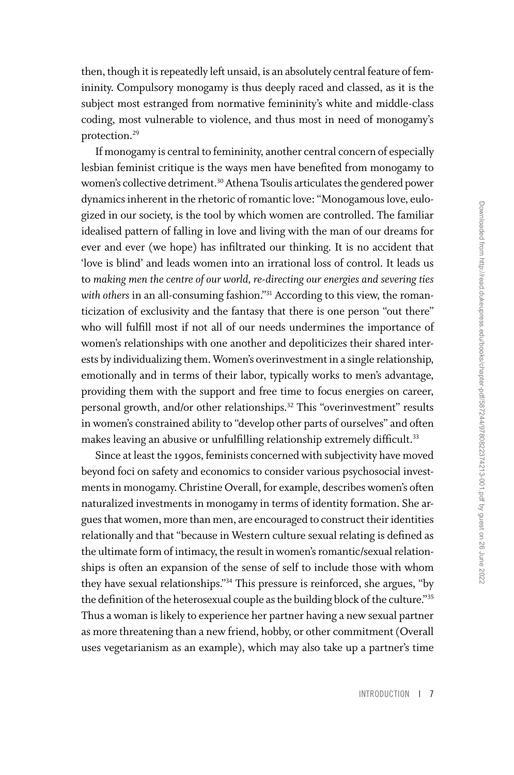then, though it is repeatedly left unsaid, is an absolutely central feature of femininity. Compulsory monogamy is thus deeply raced and classed, as it is the subject most estranged from normative femininity's white and middle-class coding, most vulnerable to violence, and thus most in need of monogamy's protection.[29](#page--1-0)

If monogamy is central to femininity, another central concern of especially lesbian feminist critique is the ways men have benefited from monogamy to women's collective detriment.<sup>[30](#page--1-0)</sup> Athena Tsoulis articulates the gendered power dynamics inherent in the rhetoric of romantic love: "Monogamous love, eulogized in our society, is the tool by which women are controlled. The familiar idealised pattern of falling in love and living with the man of our dreams for ever and ever (we hope) has infiltrated our thinking. It is no accident that 'love is blind' and leads women into an irrational loss of control. It leads us to *making men the centre of our world, re-directing our energies and severing ties*  with others in an all-consuming fashion."<sup>[31](#page--1-0)</sup> According to this view, the romanticization of exclusivity and the fantasy that there is one person "out there" who will fulfill most if not all of our needs undermines the importance of women's relationships with one another and depoliticizes their shared interests by individualizing them. Women's overinvestment in a single relationship, emotionally and in terms of their labor, typically works to men's advantage, providing them with the support and free time to focus energies on career, personal growth, and/or other relationships.<sup>[32](#page--1-0)</sup> This "overinvestment" results in women's constrained ability to "develop other parts of ourselves" and often makes leaving an abusive or unfulfilling relationship extremely difficult.<sup>[33](#page--1-0)</sup>

Since at least the 1990s, feminists concerned with subjectivity have moved beyond foci on safety and economics to consider various psychosocial investments in monogamy. Christine Overall, for example, describes women's often naturalized investments in monogamy in terms of identity formation. She argues that women, more than men, are encouraged to construct their identities relationally and that "because in Western culture sexual relating is defined as the ultimate form of intimacy, the result in women's romantic/sexual relationships is often an expansion of the sense of self to include those with whom they have sexual relationships."[34](#page--1-0) This pressure is reinforced, she argues, "by the definition of the heterosexual couple as the building block of the culture."<sup>[35](#page--1-0)</sup> Thus a woman is likely to experience her partner having a new sexual partner as more threatening than a new friend, hobby, or other commitment (Overall uses vegetarianism as an example), which may also take up a partner's time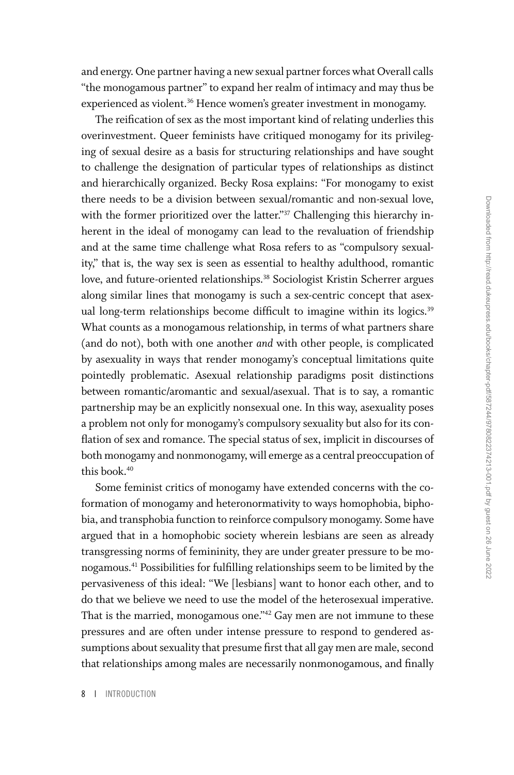and energy. One partner having a new sexual partner forces what Overall calls "the monogamous partner" to expand her realm of intimacy and may thus be experienced as violent.<sup>[36](#page--1-0)</sup> Hence women's greater investment in monogamy.

The reification of sex as the most important kind of relating underlies this overinvestment. Queer feminists have critiqued monogamy for its privileging of sexual desire as a basis for structuring relationships and have sought to challenge the designation of particular types of relationships as distinct and hierarchically organized. Becky Rosa explains: "For monogamy to exist there needs to be a division between sexual/romantic and non-sexual love, with the former prioritized over the latter."<sup>[37](#page--1-0)</sup> Challenging this hierarchy inherent in the ideal of monogamy can lead to the revaluation of friendship and at the same time challenge what Rosa refers to as "compulsory sexuality," that is, the way sex is seen as essential to healthy adulthood, romantic love, and future-oriented relationships.<sup>[38](#page--1-0)</sup> Sociologist Kristin Scherrer argues along similar lines that monogamy is such a sex-centric concept that asex-ual long-term relationships become difficult to imagine within its logics.<sup>[39](#page--1-0)</sup> What counts as a monogamous relationship, in terms of what partners share (and do not), both with one another *and* with other people, is complicated by asexuality in ways that render monogamy's conceptual limitations quite pointedly problematic. Asexual relationship paradigms posit distinctions between romantic/aromantic and sexual/asexual. That is to say, a romantic partnership may be an explicitly nonsexual one. In this way, asexuality poses a problem not only for monogamy's compulsory sexuality but also for its conflation of sex and romance. The special status of sex, implicit in discourses of both monogamy and nonmonogamy, will emerge as a central preoccupation of this book $40$ 

Some feminist critics of monogamy have extended concerns with the coformation of monogamy and heteronormativity to ways homophobia, biphobia, and transphobia function to reinforce compulsory monogamy. Some have argued that in a homophobic society wherein lesbians are seen as already transgressing norms of femininity, they are under greater pressure to be monogamous.[41](#page--1-0) Possibilities for fulfilling relationships seem to be limited by the pervasiveness of this ideal: "We [lesbians] want to honor each other, and to do that we believe we need to use the model of the heterosexual imperative. That is the married, monogamous one."[42](#page--1-0) Gay men are not immune to these pressures and are often under intense pressure to respond to gendered assumptions about sexuality that presume first that all gay men are male, second that relationships among males are necessarily nonmonogamous, and finally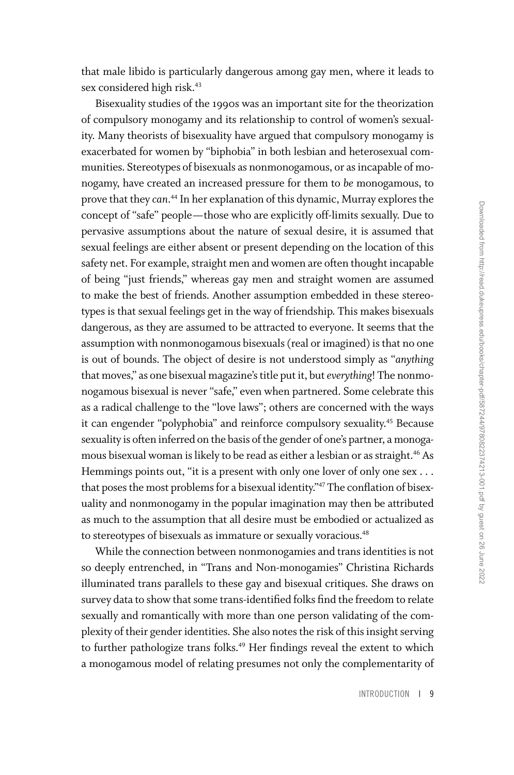Bisexuality studies of the 1990s was an important site for the theorization of compulsory monogamy and its relationship to control of women's sexuality. Many theorists of bisexuality have argued that compulsory monogamy is exacerbated for women by "biphobia" in both lesbian and heterosexual communities. Stereotypes of bisexuals as nonmonogamous, or as incapable of monogamy, have created an increased pressure for them to *be* monogamous, to prove that they *can*. [44](#page--1-0) In her explanation of this dynamic, Murray explores the concept of "safe" people—those who are explicitly off-limits sexually. Due to pervasive assumptions about the nature of sexual desire, it is assumed that sexual feelings are either absent or present depending on the location of this safety net. For example, straight men and women are often thought incapable of being "just friends," whereas gay men and straight women are assumed to make the best of friends. Another assumption embedded in these stereotypes is that sexual feelings get in the way of friendship. This makes bisexuals dangerous, as they are assumed to be attracted to everyone. It seems that the assumption with nonmonogamous bisexuals (real or imagined) is that no one is out of bounds. The object of desire is not understood simply as "*anything* that moves," as one bisexual magazine's title put it, but *everything*! The nonmonogamous bisexual is never "safe," even when partnered. Some celebrate this as a radical challenge to the "love laws"; others are concerned with the ways it can engender "polyphobia" and reinforce compulsory sexuality.<sup>[45](#page--1-0)</sup> Because sexuality is often inferred on the basis of the gender of one's partner, a monoga-mous bisexual woman is likely to be read as either a lesbian or as straight.<sup>[46](#page--1-0)</sup> As Hemmings points out, "it is a present with only one lover of only one sex . . . that poses the most problems for a bisexual identity."[47](#page--1-0) The conflation of bisexuality and nonmonogamy in the popular imagination may then be attributed as much to the assumption that all desire must be embodied or actualized as to stereotypes of bisexuals as immature or sexually voracious.<sup>[48](#page--1-0)</sup>

While the connection between nonmonogamies and trans identities is not so deeply entrenched, in "Trans and Non-monogamies" Christina Richards illuminated trans parallels to these gay and bisexual critiques. She draws on survey data to show that some trans-identified folks find the freedom to relate sexually and romantically with more than one person validating of the complexity of their gender identities. She also notes the risk of this insight serving to further pathologize trans folks.<sup>[49](#page--1-0)</sup> Her findings reveal the extent to which a monogamous model of relating presumes not only the complementarity of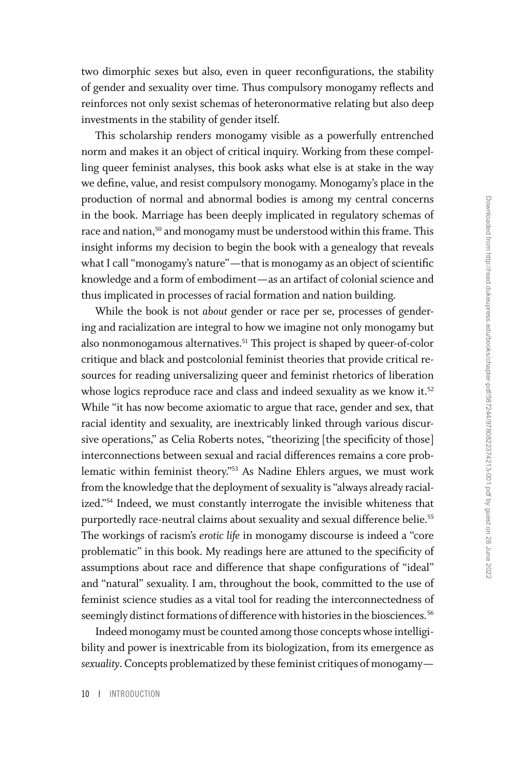two dimorphic sexes but also, even in queer reconfigurations, the stability of gender and sexuality over time. Thus compulsory monogamy reflects and reinforces not only sexist schemas of heteronormative relating but also deep investments in the stability of gender itself.

This scholarship renders monogamy visible as a powerfully entrenched norm and makes it an object of critical inquiry. Working from these compelling queer feminist analyses, this book asks what else is at stake in the way we define, value, and resist compulsory monogamy. Monogamy's place in the production of normal and abnormal bodies is among my central concerns in the book. Marriage has been deeply implicated in regulatory schemas of race and nation,<sup>[50](#page--1-0)</sup> and monogamy must be understood within this frame. This insight informs my decision to begin the book with a genealogy that reveals what I call "monogamy's nature"—that is monogamy as an object of scientific knowledge and a form of embodiment—as an artifact of colonial science and thus implicated in processes of racial formation and nation building.

While the book is not *about* gender or race per se, processes of gendering and racialization are integral to how we imagine not only monogamy but also nonmonogamous alternatives.<sup>[51](#page--1-0)</sup> This project is shaped by queer-of-color critique and black and postcolonial feminist theories that provide critical resources for reading universalizing queer and feminist rhetorics of liberation whose logics reproduce race and class and indeed sexuality as we know it.<sup>[52](#page--1-0)</sup> While "it has now become axiomatic to argue that race, gender and sex, that racial identity and sexuality, are inextricably linked through various discursive operations," as Celia Roberts notes, "theorizing [the specificity of those] interconnections between sexual and racial differences remains a core problematic within feminist theory."[53](#page--1-0) As Nadine Ehlers argues, we must work from the knowledge that the deployment of sexuality is "always already racialized."[54](#page--1-0) Indeed, we must constantly interrogate the invisible whiteness that purportedly race-neutral claims about sexuality and sexual difference belie.<sup>[55](#page--1-0)</sup> The workings of racism's *erotic life* in monogamy discourse is indeed a "core problematic" in this book. My readings here are attuned to the specificity of assumptions about race and difference that shape configurations of "ideal" and "natural" sexuality. I am, throughout the book, committed to the use of feminist science studies as a vital tool for reading the interconnectedness of seemingly distinct formations of difference with histories in the biosciences.<sup>[56](#page--1-0)</sup>

Indeed monogamy must be counted among those concepts whose intelligibility and power is inextricable from its biologization, from its emergence as *sexuality*. Concepts problematized by these feminist critiques of monogamy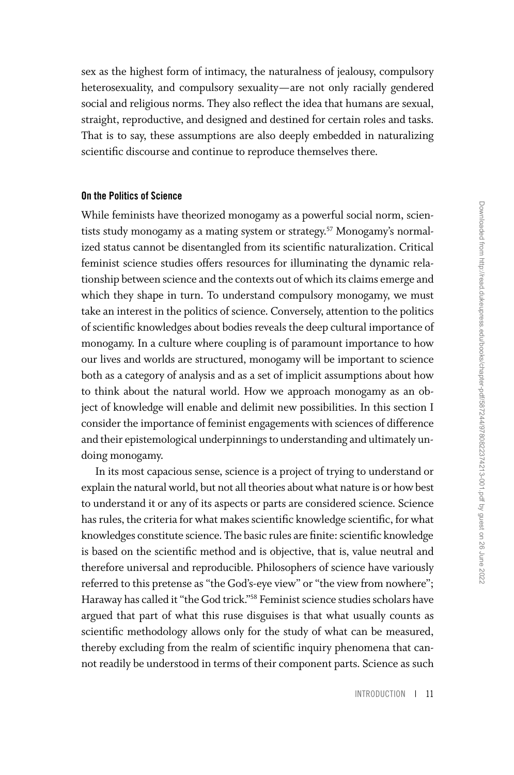sex as the highest form of intimacy, the naturalness of jealousy, compulsory heterosexuality, and compulsory sexuality—are not only racially gendered social and religious norms. They also reflect the idea that humans are sexual, straight, reproductive, and designed and destined for certain roles and tasks. That is to say, these assumptions are also deeply embedded in naturalizing scientific discourse and continue to reproduce themselves there.

## **On the Politics of Science**

While feminists have theorized monogamy as a powerful social norm, scien-tists study monogamy as a mating system or strategy.<sup>[57](#page--1-0)</sup> Monogamy's normalized status cannot be disentangled from its scientific naturalization. Critical feminist science studies offers resources for illuminating the dynamic relationship between science and the contexts out of which its claims emerge and which they shape in turn. To understand compulsory monogamy, we must take an interest in the politics of science. Conversely, attention to the politics of scientific knowledges about bodies reveals the deep cultural importance of monogamy. In a culture where coupling is of paramount importance to how our lives and worlds are structured, monogamy will be important to science both as a category of analysis and as a set of implicit assumptions about how to think about the natural world. How we approach monogamy as an object of knowledge will enable and delimit new possibilities. In this section I consider the importance of feminist engagements with sciences of difference and their epistemological underpinnings to understanding and ultimately undoing monogamy.

In its most capacious sense, science is a project of trying to understand or explain the natural world, but not all theories about what nature is or how best to understand it or any of its aspects or parts are considered science. Science has rules, the criteria for what makes scientific knowledge scientific, for what knowledges constitute science. The basic rules are finite: scientific knowledge is based on the scientific method and is objective, that is, value neutral and therefore universal and reproducible. Philosophers of science have variously referred to this pretense as "the God's-eye view" or "the view from nowhere"; Haraway has called it "the God trick."[58](#page--1-0) Feminist science studies scholars have argued that part of what this ruse disguises is that what usually counts as scientific methodology allows only for the study of what can be measured, thereby excluding from the realm of scientific inquiry phenomena that cannot readily be understood in terms of their component parts. Science as such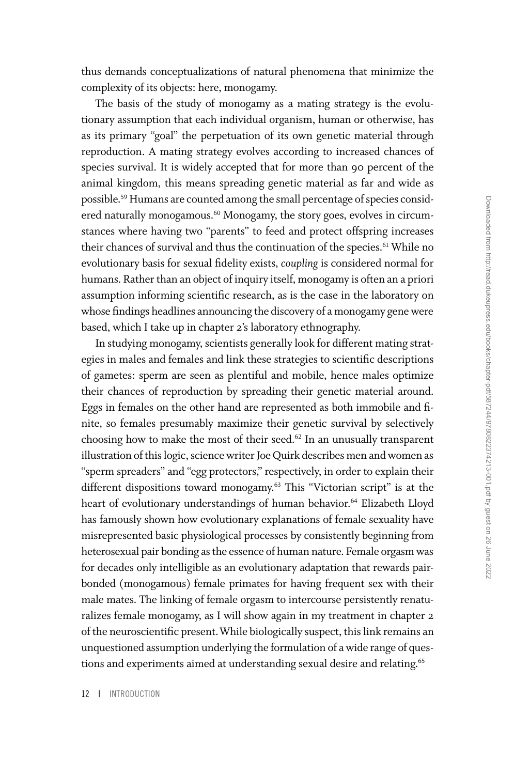thus demands conceptualizations of natural phenomena that minimize the complexity of its objects: here, monogamy.

The basis of the study of monogamy as a mating strategy is the evolutionary assumption that each individual organism, human or otherwise, has as its primary "goal" the perpetuation of its own genetic material through reproduction. A mating strategy evolves according to increased chances of species survival. It is widely accepted that for more than 90 percent of the animal kingdom, this means spreading genetic material as far and wide as possible.[59](#page--1-0) Humans are counted among the small percentage of species consid-ered naturally monogamous.<sup>[60](#page--1-0)</sup> Monogamy, the story goes, evolves in circumstances where having two "parents" to feed and protect offspring increases their chances of survival and thus the continuation of the species.<sup>[61](#page--1-0)</sup> While no evolutionary basis for sexual fidelity exists, *coupling* is considered normal for humans. Rather than an object of inquiry itself, monogamy is often an a priori assumption informing scientific research, as is the case in the laboratory on whose findings headlines announcing the discovery of a monogamy gene were based, which I take up in [chapter 2](#page--1-0)'s laboratory ethnography.

In studying monogamy, scientists generally look for different mating strategies in males and females and link these strategies to scientific descriptions of gametes: sperm are seen as plentiful and mobile, hence males optimize their chances of reproduction by spreading their genetic material around. Eggs in females on the other hand are represented as both immobile and finite, so females presumably maximize their genetic survival by selectively choosing how to make the most of their seed.<sup>[62](#page--1-0)</sup> In an unusually transparent illustration of this logic, science writer Joe Quirk describes men and women as "sperm spreaders" and "egg protectors," respectively, in order to explain their different dispositions toward monogamy.[63](#page--1-0) This "Victorian script" is at the heart of evolutionary understandings of human behavior.<sup>[64](#page--1-0)</sup> Elizabeth Lloyd has famously shown how evolutionary explanations of female sexuality have misrepresented basic physiological processes by consistently beginning from heterosexual pair bonding as the essence of human nature. Female orgasm was for decades only intelligible as an evolutionary adaptation that rewards pairbonded (monogamous) female primates for having frequent sex with their male mates. The linking of female orgasm to intercourse persistently renaturalizes female monogamy, as I will show again in my treatment in [chapter 2](#page--1-0) of the neuroscientific present.While biologically suspect, this link remains an unquestioned assumption underlying the formulation of a wide range of ques-tions and experiments aimed at understanding sexual desire and relating.<sup>[65](#page--1-0)</sup>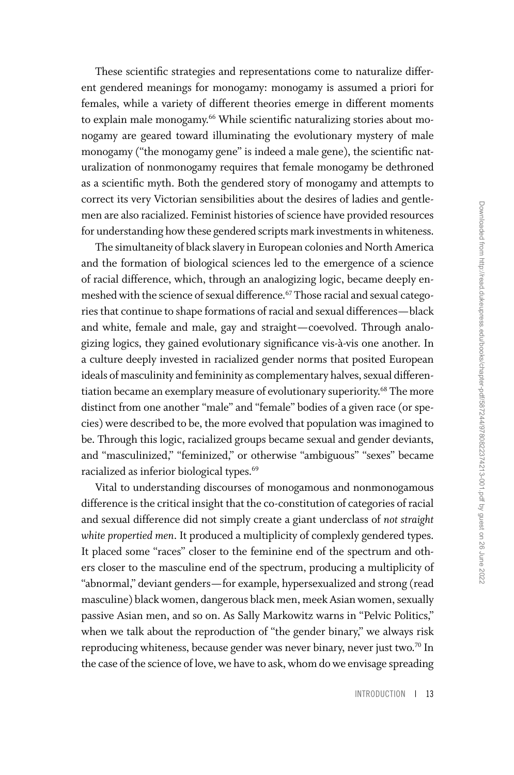These scientific strategies and representations come to naturalize different gendered meanings for monogamy: monogamy is assumed a priori for females, while a variety of different theories emerge in different moments to explain male monogamy.<sup>[66](#page--1-0)</sup> While scientific naturalizing stories about monogamy are geared toward illuminating the evolutionary mystery of male monogamy ("the monogamy gene" is indeed a male gene), the scientific naturalization of nonmonogamy requires that female monogamy be dethroned as a scientific myth. Both the gendered story of monogamy and attempts to correct its very Victorian sensibilities about the desires of ladies and gentlemen are also racialized. Feminist histories of science have provided resources for understanding how these gendered scripts mark investments in whiteness.

The simultaneity of black slavery in European colonies and North America and the formation of biological sciences led to the emergence of a science of racial difference, which, through an analogizing logic, became deeply en-meshed with the science of sexual difference.<sup>[67](#page--1-0)</sup> Those racial and sexual categories that continue to shape formations of racial and sexual differences—black and white, female and male, gay and straight—coevolved. Through analogizing logics, they gained evolutionary significance vis-à-vis one another. In a culture deeply invested in racialized gender norms that posited European ideals of masculinity and femininity as complementary halves, sexual differen-tiation became an exemplary measure of evolutionary superiority.<sup>[68](#page--1-0)</sup> The more distinct from one another "male" and "female" bodies of a given race (or species) were described to be, the more evolved that population was imagined to be. Through this logic, racialized groups became sexual and gender deviants, and "masculinized," "feminized," or otherwise "ambiguous" "sexes" became racialized as inferior biological types.<sup>[69](#page--1-0)</sup>

Vital to understanding discourses of monogamous and nonmonogamous difference is the critical insight that the co-constitution of categories of racial and sexual difference did not simply create a giant underclass of *not straight white propertied men*. It produced a multiplicity of complexly gendered types. It placed some "races" closer to the feminine end of the spectrum and others closer to the masculine end of the spectrum, producing a multiplicity of "abnormal," deviant genders—for example, hypersexualized and strong (read masculine) black women, dangerous black men, meek Asian women, sexually passive Asian men, and so on. As Sally Markowitz warns in "Pelvic Politics," when we talk about the reproduction of "the gender binary," we always risk reproducing whiteness, because gender was never binary, never just two.<sup>[70](#page--1-0)</sup> In the case of the science of love, we have to ask, whom do we envisage spreading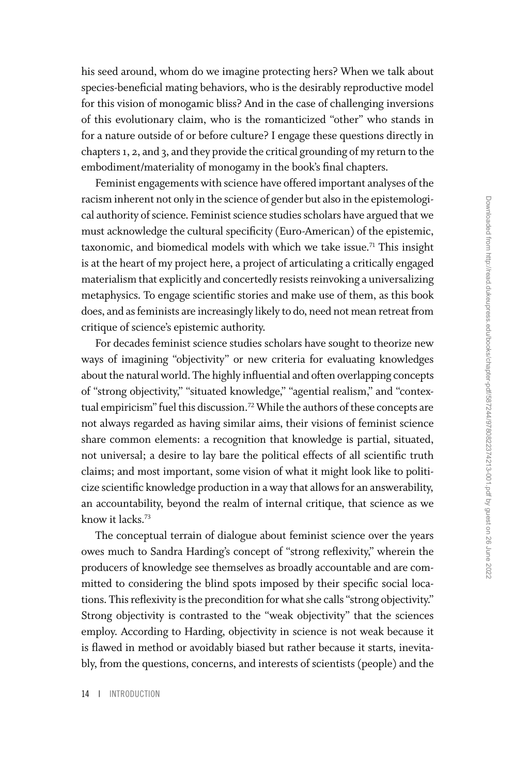his seed around, whom do we imagine protecting hers? When we talk about species-beneficial mating behaviors, who is the desirably reproductive model for this vision of monogamic bliss? And in the case of challenging inversions of this evolutionary claim, who is the romanticized "other" who stands in for a nature outside of or before culture? I engage these questions directly in [chapters 1](#page--1-0), [2](#page--1-0), an[d 3](#page--1-0), and they provide the critical grounding of my return to the embodiment/materiality of monogamy in the book's final chapters.

Feminist engagements with science have offered important analyses of the racism inherent not only in the science of gender but also in the epistemological authority of science. Feminist science studies scholars have argued that we must acknowledge the cultural specificity (Euro-American) of the epistemic, taxonomic, and biomedical models with which we take issue.<sup>[71](#page--1-0)</sup> This insight is at the heart of my project here, a project of articulating a critically engaged materialism that explicitly and concertedly resists reinvoking a universalizing metaphysics. To engage scientific stories and make use of them, as this book does, and as feminists are increasingly likely to do, need not mean retreat from critique of science's epistemic authority.

For decades feminist science studies scholars have sought to theorize new ways of imagining "objectivity" or new criteria for evaluating knowledges about the natural world. The highly influential and often overlapping concepts of "strong objectivity," "situated knowledge," "agential realism," and "contex-tual empiricism" fuel this discussion.<sup>[72](#page--1-0)</sup> While the authors of these concepts are not always regarded as having similar aims, their visions of feminist science share common elements: a recognition that knowledge is partial, situated, not universal; a desire to lay bare the political effects of all scientific truth claims; and most important, some vision of what it might look like to politicize scientific knowledge production in a way that allows for an answerability, an accountability, beyond the realm of internal critique, that science as we know it lacks.[73](#page--1-0)

The conceptual terrain of dialogue about feminist science over the years owes much to Sandra Harding's concept of "strong reflexivity," wherein the producers of knowledge see themselves as broadly accountable and are committed to considering the blind spots imposed by their specific social locations. This reflexivity is the precondition for what she calls "strong objectivity." Strong objectivity is contrasted to the "weak objectivity" that the sciences employ. According to Harding, objectivity in science is not weak because it is flawed in method or avoidably biased but rather because it starts, inevitably, from the questions, concerns, and interests of scientists (people) and the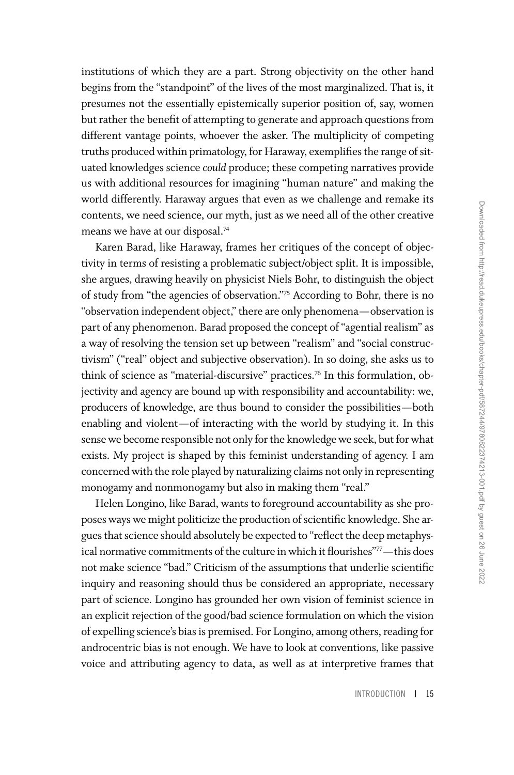institutions of which they are a part. Strong objectivity on the other hand begins from the "standpoint" of the lives of the most marginalized. That is, it presumes not the essentially epistemically superior position of, say, women but rather the benefit of attempting to generate and approach questions from different vantage points, whoever the asker. The multiplicity of competing truths produced within primatology, for Haraway, exemplifies the range of situated knowledges science *could* produce; these competing narratives provide us with additional resources for imagining "human nature" and making the world differently. Haraway argues that even as we challenge and remake its contents, we need science, our myth, just as we need all of the other creative means we have at our disposal.[74](#page--1-0)

Karen Barad, like Haraway, frames her critiques of the concept of objectivity in terms of resisting a problematic subject/object split. It is impossible, she argues, drawing heavily on physicist Niels Bohr, to distinguish the object of study from "the agencies of observation."[75](#page--1-0) According to Bohr, there is no "observation independent object," there are only phenomena—observation is part of any phenomenon. Barad proposed the concept of "agential realism" as a way of resolving the tension set up between "realism" and "social constructivism" ("real" object and subjective observation). In so doing, she asks us to think of science as "material-discursive" practices.[76](#page--1-0) In this formulation, objectivity and agency are bound up with responsibility and accountability: we, producers of knowledge, are thus bound to consider the possibilities—both enabling and violent—of interacting with the world by studying it. In this sense we become responsible not only for the knowledge we seek, but for what exists. My project is shaped by this feminist understanding of agency. I am concerned with the role played by naturalizing claims not only in representing monogamy and nonmonogamy but also in making them "real."

Helen Longino, like Barad, wants to foreground accountability as she proposes ways we might politicize the production of scientific knowledge. She argues that science should absolutely be expected to "reflect the deep metaphysical normative commitments of the culture in which it flourishes"[77](#page--1-0)—this does not make science "bad." Criticism of the assumptions that underlie scientific inquiry and reasoning should thus be considered an appropriate, necessary part of science. Longino has grounded her own vision of feminist science in an explicit rejection of the good/bad science formulation on which the vision of expelling science's bias is premised. For Longino, among others, reading for androcentric bias is not enough. We have to look at conventions, like passive voice and attributing agency to data, as well as at interpretive frames that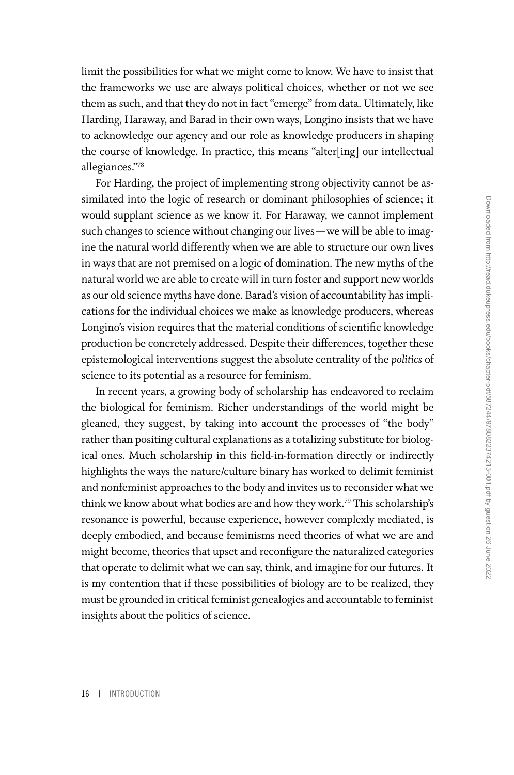limit the possibilities for what we might come to know. We have to insist that the frameworks we use are always political choices, whether or not we see them as such, and that they do not in fact "emerge" from data. Ultimately, like Harding, Haraway, and Barad in their own ways, Longino insists that we have to acknowledge our agency and our role as knowledge producers in shaping the course of knowledge. In practice, this means "alter[ing] our intellectual allegiances."[78](#page--1-0)

For Harding, the project of implementing strong objectivity cannot be assimilated into the logic of research or dominant philosophies of science; it would supplant science as we know it. For Haraway, we cannot implement such changes to science without changing our lives—we will be able to imagine the natural world differently when we are able to structure our own lives in ways that are not premised on a logic of domination. The new myths of the natural world we are able to create will in turn foster and support new worlds as our old science myths have done. Barad's vision of accountability has implications for the individual choices we make as knowledge producers, whereas Longino's vision requires that the material conditions of scientific knowledge production be concretely addressed. Despite their differences, together these epistemological interventions suggest the absolute centrality of the *politics* of science to its potential as a resource for feminism.

In recent years, a growing body of scholarship has endeavored to reclaim the biological for feminism. Richer understandings of the world might be gleaned, they suggest, by taking into account the processes of "the body" rather than positing cultural explanations as a totalizing substitute for biological ones. Much scholarship in this field-in-formation directly or indirectly highlights the ways the nature/culture binary has worked to delimit feminist and nonfeminist approaches to the body and invites us to reconsider what we think we know about what bodies are and how they work.<sup>[79](#page--1-0)</sup> This scholarship's resonance is powerful, because experience, however complexly mediated, is deeply embodied, and because feminisms need theories of what we are and might become, theories that upset and reconfigure the naturalized categories that operate to delimit what we can say, think, and imagine for our futures. It is my contention that if these possibilities of biology are to be realized, they must be grounded in critical feminist genealogies and accountable to feminist insights about the politics of science.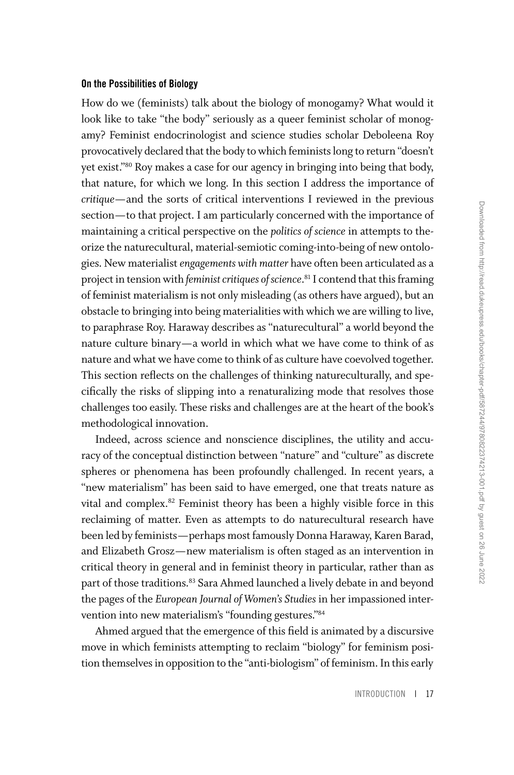### **On the Possibilities of Biology**

How do we (feminists) talk about the biology of monogamy? What would it look like to take "the body" seriously as a queer feminist scholar of monogamy? Feminist endocrinologist and science studies scholar Deboleena Roy provocatively declared that the body to which feminists long to return "doesn't yet exist."[80](#page--1-0) Roy makes a case for our agency in bringing into being that body, that nature, for which we long. In this section I address the importance of *critique*—and the sorts of critical interventions I reviewed in the previous section—to that project. I am particularly concerned with the importance of maintaining a critical perspective on the *politics of science* in attempts to theorize the naturecultural, material-semiotic coming-into-being of new ontologies. New materialist *engagements with matter* have often been articulated as a project in tension with *feminist critiques of science*. [81](#page--1-0) I contend that this framing of feminist materialism is not only misleading (as others have argued), but an obstacle to bringing into being materialities with which we are willing to live, to paraphrase Roy. Haraway describes as "naturecultural" a world beyond the nature culture binary—a world in which what we have come to think of as nature and what we have come to think of as culture have coevolved together. This section reflects on the challenges of thinking natureculturally, and specifically the risks of slipping into a renaturalizing mode that resolves those challenges too easily. These risks and challenges are at the heart of the book's methodological innovation.

Indeed, across science and nonscience disciplines, the utility and accuracy of the conceptual distinction between "nature" and "culture" as discrete spheres or phenomena has been profoundly challenged. In recent years, a "new materialism" has been said to have emerged, one that treats nature as vital and complex.[82](#page--1-0) Feminist theory has been a highly visible force in this reclaiming of matter. Even as attempts to do naturecultural research have been led by feminists—perhaps most famously Donna Haraway, Karen Barad, and Elizabeth Grosz—new materialism is often staged as an intervention in critical theory in general and in feminist theory in particular, rather than as part of those traditions.<sup>[83](#page--1-0)</sup> Sara Ahmed launched a lively debate in and beyond the pages of the *European Journal of Women's Studies* in her impassioned intervention into new materialism's "founding gestures."[84](#page--1-0)

Ahmed argued that the emergence of this field is animated by a discursive move in which feminists attempting to reclaim "biology" for feminism position themselves in opposition to the "anti-biologism" of feminism. In this early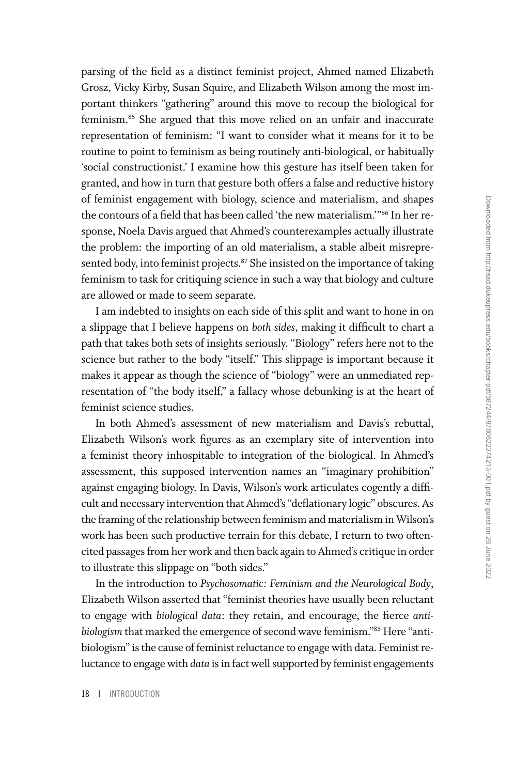parsing of the field as a distinct feminist project, Ahmed named Elizabeth Grosz, Vicky Kirby, Susan Squire, and Elizabeth Wilson among the most important thinkers "gathering" around this move to recoup the biological for feminism.[85](#page--1-0) She argued that this move relied on an unfair and inaccurate representation of feminism: "I want to consider what it means for it to be routine to point to feminism as being routinely anti-biological, or habitually 'social constructionist.' I examine how this gesture has itself been taken for granted, and how in turn that gesture both offers a false and reductive history of feminist engagement with biology, science and materialism, and shapes the contours of a field that has been called 'the new materialism.'"[86](#page--1-0) In her response, Noela Davis argued that Ahmed's counterexamples actually illustrate the problem: the importing of an old materialism, a stable albeit misrepre-sented body, into feminist projects.<sup>[87](#page--1-0)</sup> She insisted on the importance of taking feminism to task for critiquing science in such a way that biology and culture are allowed or made to seem separate.

I am indebted to insights on each side of this split and want to hone in on a slippage that I believe happens on *both sides*, making it difficult to chart a path that takes both sets of insights seriously. "Biology" refers here not to the science but rather to the body "itself." This slippage is important because it makes it appear as though the science of "biology" were an unmediated representation of "the body itself," a fallacy whose debunking is at the heart of feminist science studies.

In both Ahmed's assessment of new materialism and Davis's rebuttal, Elizabeth Wilson's work figures as an exemplary site of intervention into a feminist theory inhospitable to integration of the biological. In Ahmed's assessment, this supposed intervention names an "imaginary prohibition" against engaging biology. In Davis, Wilson's work articulates cogently a difficult and necessary intervention that Ahmed's "deflationary logic" obscures. As the framing of the relationship between feminism and materialism in Wilson's work has been such productive terrain for this debate, I return to two oftencited passages from her work and then back again to Ahmed's critique in order to illustrate this slippage on "both sides."

In the introduction to *Psychosomatic: Feminism and the Neurological Body*, Elizabeth Wilson asserted that "feminist theories have usually been reluctant to engage with *biological data*: they retain, and encourage, the fierce *antibiologism* that marked the emergence of second wave feminism."[88](#page--1-0) Here "antibiologism" is the cause of feminist reluctance to engage with data. Feminist reluctance to engage with *data* is in fact well supported by feminist engagements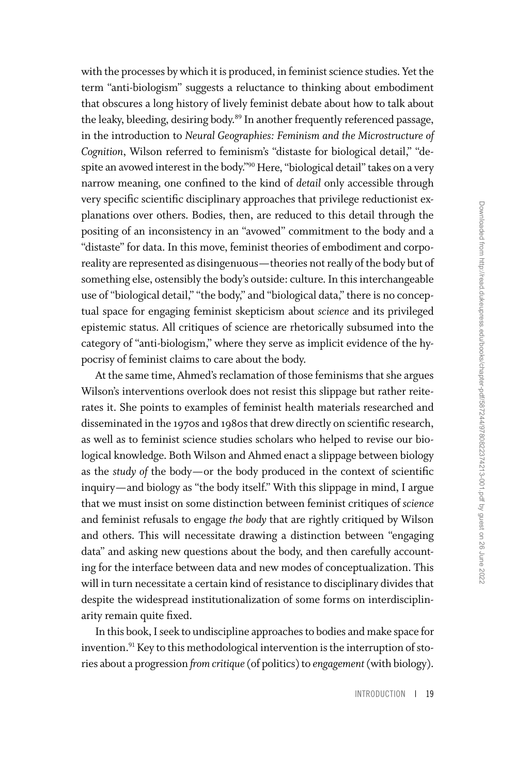with the processes by which it is produced, in feminist science studies. Yet the term "anti-biologism" suggests a reluctance to thinking about embodiment that obscures a long history of lively feminist debate about how to talk about the leaky, bleeding, desiring body.<sup>[89](#page--1-0)</sup> In another frequently referenced passage, in the introduction to *Neural Geographies: Feminism and the Microstructure of Cognition*, Wilson referred to feminism's "distaste for biological detail," "despite an avowed interest in the body."[90](#page--1-0) Here, "biological detail" takes on a very narrow meaning, one confined to the kind of *detail* only accessible through very specific scientific disciplinary approaches that privilege reductionist explanations over others. Bodies, then, are reduced to this detail through the positing of an inconsistency in an "avowed" commitment to the body and a "distaste" for data. In this move, feminist theories of embodiment and corporeality are represented as disingenuous—theories not really of the body but of something else, ostensibly the body's outside: culture. In this interchangeable use of "biological detail," "the body," and "biological data," there is no conceptual space for engaging feminist skepticism about *science* and its privileged epistemic status. All critiques of science are rhetorically subsumed into the category of "anti-biologism," where they serve as implicit evidence of the hypocrisy of feminist claims to care about the body.

At the same time, Ahmed's reclamation of those feminisms that she argues Wilson's interventions overlook does not resist this slippage but rather reiterates it. She points to examples of feminist health materials researched and disseminated in the 1970s and 1980s that drew directly on scientific research, as well as to feminist science studies scholars who helped to revise our biological knowledge. Both Wilson and Ahmed enact a slippage between biology as the *study of* the body—or the body produced in the context of scientific inquiry—and biology as "the body itself." With this slippage in mind, I argue that we must insist on some distinction between feminist critiques of *science* and feminist refusals to engage *the body* that are rightly critiqued by Wilson and others. This will necessitate drawing a distinction between "engaging data" and asking new questions about the body, and then carefully accounting for the interface between data and new modes of conceptualization. This will in turn necessitate a certain kind of resistance to disciplinary divides that despite the widespread institutionalization of some forms on interdisciplinarity remain quite fixed.

In this book, I seek to undiscipline approaches to bodies and make space for invention.<sup>[91](#page--1-0)</sup> Key to this methodological intervention is the interruption of stories about a progression *from critique* (of politics) to *engagement* (with biology).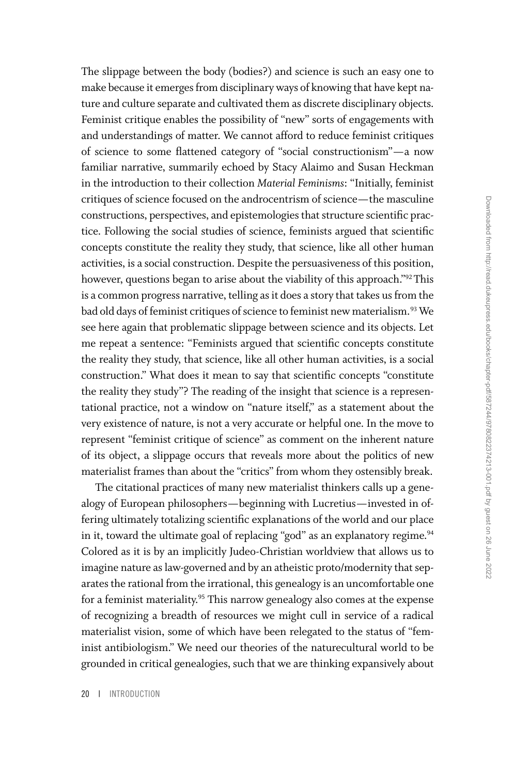The slippage between the body (bodies?) and science is such an easy one to make because it emerges from disciplinary ways of knowing that have kept nature and culture separate and cultivated them as discrete disciplinary objects. Feminist critique enables the possibility of "new" sorts of engagements with and understandings of matter. We cannot afford to reduce feminist critiques of science to some flattened category of "social constructionism"—a now familiar narrative, summarily echoed by Stacy Alaimo and Susan Heckman in the introduction to their collection *Material Feminisms*: "Initially, feminist critiques of science focused on the androcentrism of science—the masculine constructions, perspectives, and epistemologies that structure scientific practice. Following the social studies of science, feminists argued that scientific concepts constitute the reality they study, that science, like all other human activities, is a social construction. Despite the persuasiveness of this position, however, questions began to arise about the viability of this approach."<sup>[92](#page--1-0)</sup>This is a common progress narrative, telling as it does a story that takes us from the bad old days of feminist critiques of science to feminist new materialism.<sup>[93](#page--1-0)</sup> We see here again that problematic slippage between science and its objects. Let me repeat a sentence: "Feminists argued that scientific concepts constitute the reality they study, that science, like all other human activities, is a social construction." What does it mean to say that scientific concepts "constitute the reality they study"? The reading of the insight that science is a representational practice, not a window on "nature itself," as a statement about the very existence of nature, is not a very accurate or helpful one. In the move to represent "feminist critique of science" as comment on the inherent nature of its object, a slippage occurs that reveals more about the politics of new materialist frames than about the "critics" from whom they ostensibly break.

The citational practices of many new materialist thinkers calls up a genealogy of European philosophers—beginning with Lucretius—invested in offering ultimately totalizing scientific explanations of the world and our place in it, toward the ultimate goal of replacing "god" as an explanatory regime.<sup>[94](#page--1-0)</sup> Colored as it is by an implicitly Judeo-Christian worldview that allows us to imagine nature as law-governed and by an atheistic proto/modernity that separates the rational from the irrational, this genealogy is an uncomfortable one for a feminist materiality.<sup>[95](#page--1-0)</sup> This narrow genealogy also comes at the expense of recognizing a breadth of resources we might cull in service of a radical materialist vision, some of which have been relegated to the status of "feminist antibiologism." We need our theories of the naturecultural world to be grounded in critical genealogies, such that we are thinking expansively about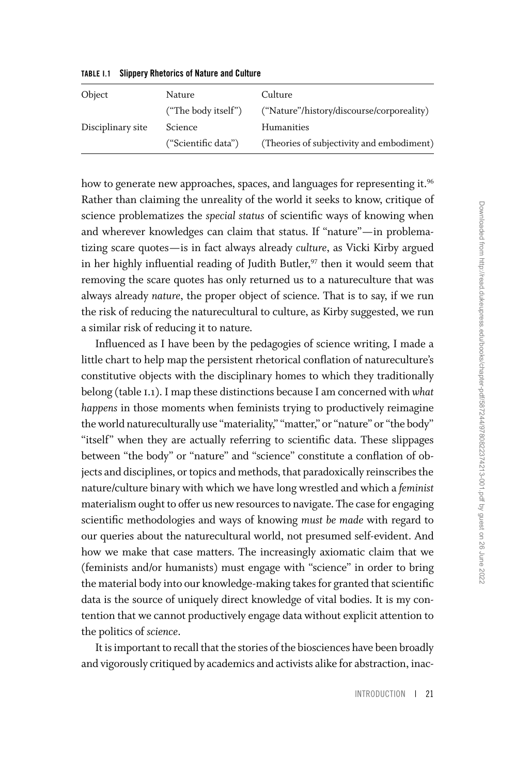| Object            | Nature              | Culture                                   |
|-------------------|---------------------|-------------------------------------------|
|                   | ("The body itself") | ("Nature"/history/discourse/corporeality) |
| Disciplinary site | Science             | Humanities                                |
|                   | ("Scientific data") | (Theories of subjectivity and embodiment) |

**TABLE I.1 Slippery Rhetorics of Nature and Culture**

how to generate new approaches, spaces, and languages for representing it.<sup>[96](#page--1-0)</sup> Rather than claiming the unreality of the world it seeks to know, critique of science problematizes the *special status* of scientific ways of knowing when and wherever knowledges can claim that status. If "nature"—in problematizing scare quotes—is in fact always already *culture*, as Vicki Kirby argued in her highly influential reading of Judith Butler,<sup>[97](#page--1-0)</sup> then it would seem that removing the scare quotes has only returned us to a natureculture that was always already *nature*, the proper object of science. That is to say, if we run the risk of reducing the naturecultural to culture, as Kirby suggested, we run a similar risk of reducing it to nature.

Influenced as I have been by the pedagogies of science writing, I made a little chart to help map the persistent rhetorical conflation of natureculture's constitutive objects with the disciplinary homes to which they traditionally belong (table i.1). I map these distinctions because I am concerned with *what happens* in those moments when feminists trying to productively reimagine the world natureculturally use "materiality," "matter," or "nature" or "the body" "itself" when they are actually referring to scientific data. These slippages between "the body" or "nature" and "science" constitute a conflation of objects and disciplines, or topics and methods, that paradoxically reinscribes the nature/culture binary with which we have long wrestled and which a *feminist*  materialism ought to offer us new resources to navigate. The case for engaging scientific methodologies and ways of knowing *must be made* with regard to our queries about the naturecultural world, not presumed self-evident. And how we make that case matters. The increasingly axiomatic claim that we (feminists and/or humanists) must engage with "science" in order to bring the material body into our knowledge-making takes for granted that scientific data is the source of uniquely direct knowledge of vital bodies. It is my contention that we cannot productively engage data without explicit attention to the politics of *science*.

It is important to recall that the stories of the biosciences have been broadly and vigorously critiqued by academics and activists alike for abstraction, inac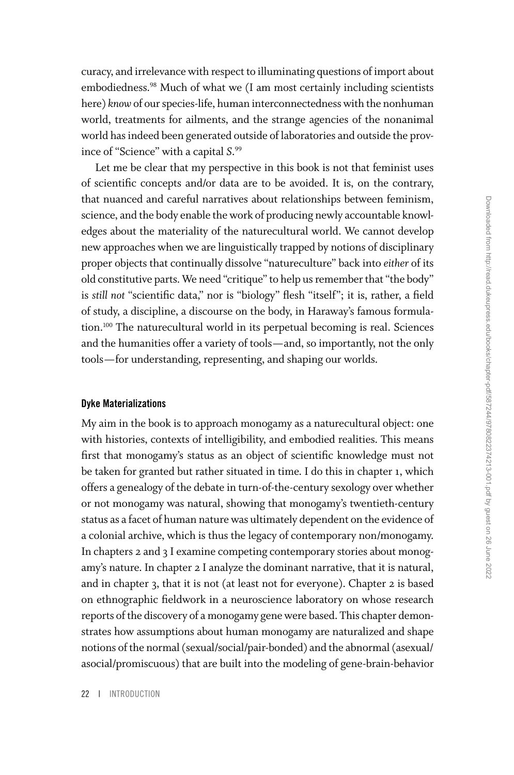curacy, and irrelevance with respect to illuminating questions of import about embodiedness.[98](#page--1-0) Much of what we (I am most certainly including scientists here) *know* of our species-life, human interconnectedness with the nonhuman world, treatments for ailments, and the strange agencies of the nonanimal world has indeed been generated outside of laboratories and outside the province of "Science" with a capital *S*. [99](#page--1-0)

Let me be clear that my perspective in this book is not that feminist uses of scientific concepts and/or data are to be avoided. It is, on the contrary, that nuanced and careful narratives about relationships between feminism, science, and the body enable the work of producing newly accountable knowledges about the materiality of the naturecultural world. We cannot develop new approaches when we are linguistically trapped by notions of disciplinary proper objects that continually dissolve "natureculture" back into *either* of its old constitutive parts. We need "critique" to help us remember that "the body" is *still not* "scientific data," nor is "biology" flesh "itself"; it is, rather, a field of study, a discipline, a discourse on the body, in Haraway's famous formula-tion.<sup>[100](#page--1-0)</sup> The naturecultural world in its perpetual becoming is real. Sciences and the humanities offer a variety of tools—and, so importantly, not the only tools—for understanding, representing, and shaping our worlds.

#### **Dyke Materializations**

My aim in the book is to approach monogamy as a naturecultural object: one with histories, contexts of intelligibility, and embodied realities. This means first that monogamy's status as an object of scientific knowledge must not be taken for granted but rather situated in time. I do this in [chapter 1](#page--1-0), which offers a genealogy of the debate in turn-of-the-century sexology over whether or not monogamy was natural, showing that monogamy's twentieth-century status as a facet of human nature was ultimately dependent on the evidence of a colonial archive, which is thus the legacy of contemporary non/monogamy. In [chapters 2](#page--1-0) and [3](#page--1-0) I examine competing contemporary stories about monogamy's nature. In [chapter 2](#page--1-0) I analyze the dominant narrative, that it is natural, and in [chapter 3](#page--1-0), that it is not (at least not for everyone). [Chapter 2](#page--1-0) is based on ethnographic fieldwork in a neuroscience laboratory on whose research reports of the discovery of a monogamy gene were based. This chapter demonstrates how assumptions about human monogamy are naturalized and shape notions of the normal (sexual/social/pair-bonded) and the abnormal (asexual/ asocial/promiscuous) that are built into the modeling of gene-brain-behavior